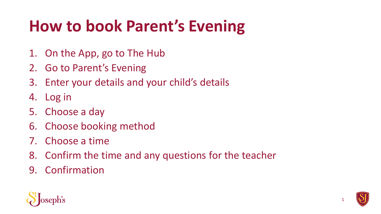# **How to book Parent's Evening**

- 1. On the App, go to The Hub
- 2. Go to Parent's Evening
- 3. Enter your details and your child's details
- 4. Log in
- 5. Choose a day
- 6. Choose booking method
- 7. Choose a time
- 8. Confirm the time and any questions for the teacher
- 9. Confirmation



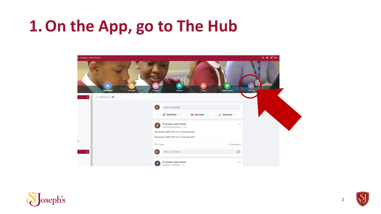#### **1.On the App, go to The Hub**





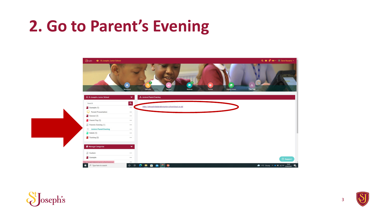#### **2. Go to Parent's Evening**



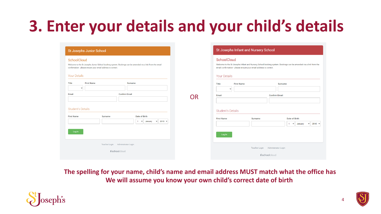## **3. Enter your details and your child's details**

| SchoolCloud                                                                                                                                                              |                     | SchoolCloud                                                                                                                                                                          |                                   |                |                      |                |  |                    |
|--------------------------------------------------------------------------------------------------------------------------------------------------------------------------|---------------------|--------------------------------------------------------------------------------------------------------------------------------------------------------------------------------------|-----------------------------------|----------------|----------------------|----------------|--|--------------------|
| Welcome to the St Josephs Junior School booking system. Bookings can be amended via a link from the email<br>confirmation - please ensure your email address is correct. |                     | Welcome to the St Josephs Infant and Nursery School booking system. Bookings can be amended via a link from the<br>email confirmation - please ensure your email address is correct. |                                   |                |                      |                |  |                    |
| <b>Your Details</b>                                                                                                                                                      | <b>Your Details</b> |                                                                                                                                                                                      |                                   |                |                      |                |  |                    |
| <b>First Name</b><br>Title<br><b>Surname</b><br>$\checkmark$                                                                                                             |                     | <b>First Name</b><br><b>Title</b>                                                                                                                                                    |                                   | <b>Surname</b> |                      |                |  |                    |
| Email<br><b>Confirm Email</b>                                                                                                                                            |                     | $\overline{\phantom{a}}$<br><b>Confirm Email</b><br>Email                                                                                                                            |                                   |                |                      |                |  |                    |
|                                                                                                                                                                          | <b>OR</b>           |                                                                                                                                                                                      |                                   |                |                      |                |  |                    |
| <b>Student's Details</b>                                                                                                                                                 |                     | <b>Student's Details</b>                                                                                                                                                             |                                   |                |                      |                |  |                    |
|                                                                                                                                                                          |                     |                                                                                                                                                                                      |                                   |                |                      |                |  |                    |
| <b>Date of Birth</b><br><b>Surname</b>                                                                                                                                   |                     | <b>First Name</b>                                                                                                                                                                    | <b>Surname</b>                    |                | <b>Date of Birth</b> |                |  |                    |
| <b>First Name</b><br>$2010 \times$<br>1 <sup>1</sup><br>January<br>— ∨ ∥<br>$\checkmark$                                                                                 |                     |                                                                                                                                                                                      |                                   | $\blacksquare$ |                      | $\vee$ January |  | $\vee$ 2010 $\vee$ |
| Log In                                                                                                                                                                   |                     | Log In                                                                                                                                                                               |                                   |                |                      |                |  |                    |
| Teacher Login Administrator Login                                                                                                                                        |                     |                                                                                                                                                                                      | Teacher Login Administrator Login |                |                      |                |  |                    |

**The spelling for your name, child's name and email address MUST match what the office has We will assume you know your own child's correct date of birth** 



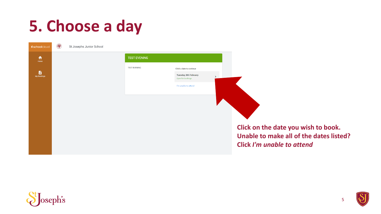# **5. Choose a day**



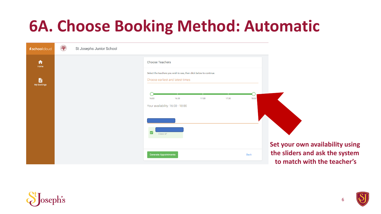### **6A. Choose Booking Method: Automatic**

| <b><i>kschoolcloud</i></b> | St Josephs Junior School |                                                                                                        |                                                                   |
|----------------------------|--------------------------|--------------------------------------------------------------------------------------------------------|-------------------------------------------------------------------|
| ₳<br>Home                  |                          | <b>Choose Teachers</b>                                                                                 |                                                                   |
| B<br><b>My Bookings</b>    |                          | Select the teachers you wish to see, then click below to continue.<br>Choose earliest and latest times |                                                                   |
|                            |                          | 17:30<br>16:00<br>16:30<br>17:00<br>18:00<br>Your availability: 16:00 - 18:00                          |                                                                   |
|                            |                          | $\overline{\mathbf{v}}$<br>Class 6P                                                                    |                                                                   |
|                            |                          | <b>Back</b><br><b>Generate Appointments</b>                                                            | Set your own availability using<br>the sliders and ask the system |
|                            |                          |                                                                                                        | to match with the teacher's                                       |

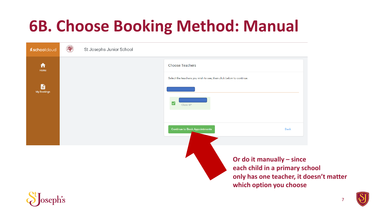### **6B. Choose Booking Method: Manual**

| <b>xschoolcloud</b> | St Josephs Junior School |                                                                    |                                                                                                                                   |  |
|---------------------|--------------------------|--------------------------------------------------------------------|-----------------------------------------------------------------------------------------------------------------------------------|--|
| ₳<br>Home           |                          | <b>Choose Teachers</b>                                             |                                                                                                                                   |  |
| B                   |                          | Select the teachers you wish to see, then click below to continue. |                                                                                                                                   |  |
| <b>My Bookings</b>  |                          | ⊵<br>Class 6P                                                      |                                                                                                                                   |  |
|                     |                          | <b>Continue to Book Appointments</b>                               | Back                                                                                                                              |  |
| $\Omega$ +          |                          |                                                                    | Or do it manually - since<br>each child in a primary school<br>only has one teacher, it doesn't matter<br>which option you choose |  |

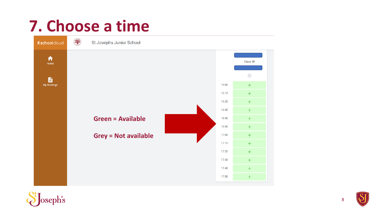#### **7. Choose a time**





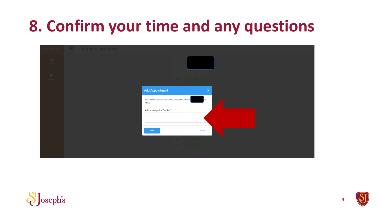### **8. Confirm your time and any questions**